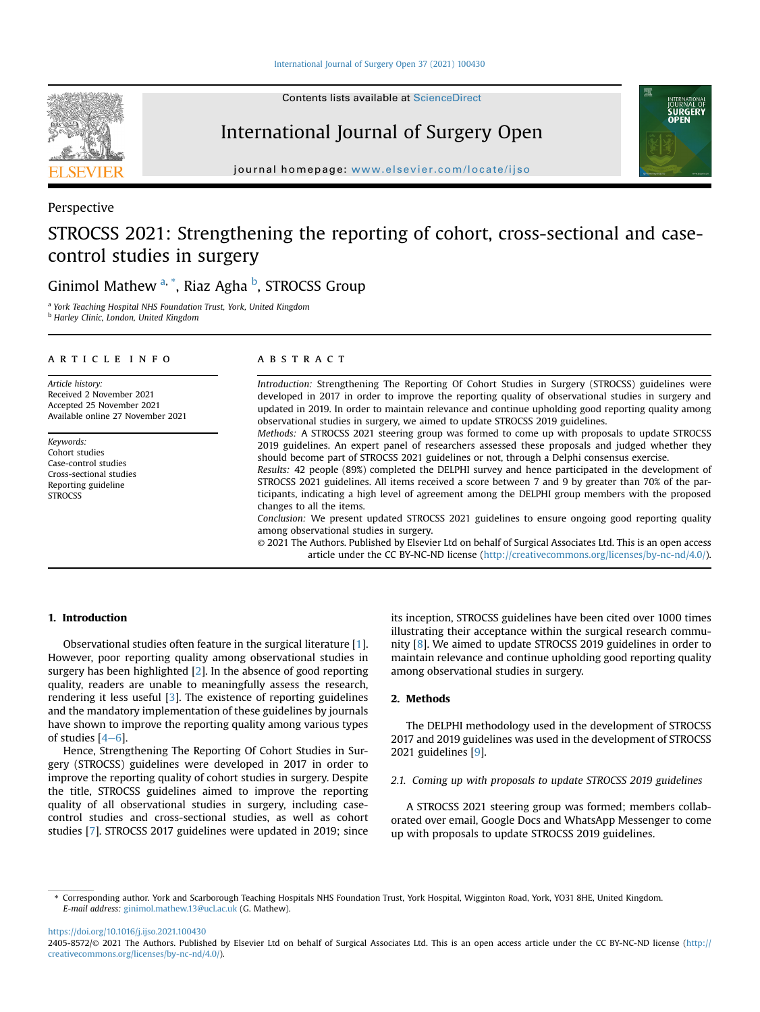Contents lists available at ScienceDirect

# International Journal of Surgery Open

journal homepage: <www.elsevier.com/locate/ijso>

# Perspective

# STROCSS 2021: Strengthening the reporting of cohort, cross-sectional and casecontrol studies in surgery

Ginimol Mathew <sup>[a,](#page-0-0) [\\*](#page-0-1)</sup>, Riaz Agha <sup>[b](#page-0-2)</sup>, STROCSS Group

<span id="page-0-2"></span><span id="page-0-0"></span><sup>a</sup> York Teaching Hospital NHS Foundation Trust, York, United Kingdom <sup>b</sup> Harley Clinic, London, United Kingdom

#### article info

Article history: Received 2 November 2021 Accepted 25 November 2021 Available online 27 November 2021

Keywords: Cohort studies Case-control studies Cross-sectional studies Reporting guideline **STROCSS** 

#### **ABSTRACT**

Introduction: Strengthening The Reporting Of Cohort Studies in Surgery (STROCSS) guidelines were developed in 2017 in order to improve the reporting quality of observational studies in surgery and updated in 2019. In order to maintain relevance and continue upholding good reporting quality among observational studies in surgery, we aimed to update STROCSS 2019 guidelines.

Methods: A STROCSS 2021 steering group was formed to come up with proposals to update STROCSS 2019 guidelines. An expert panel of researchers assessed these proposals and judged whether they should become part of STROCSS 2021 guidelines or not, through a Delphi consensus exercise.

Results: 42 people (89%) completed the DELPHI survey and hence participated in the development of STROCSS 2021 guidelines. All items received a score between 7 and 9 by greater than 70% of the participants, indicating a high level of agreement among the DELPHI group members with the proposed changes to all the items.

Conclusion: We present updated STROCSS 2021 guidelines to ensure ongoing good reporting quality among observational studies in surgery.

© 2021 The Authors. Published by Elsevier Ltd on behalf of Surgical Associates Ltd. This is an open access article under the CC BY-NC-ND license [\(http://creativecommons.org/licenses/by-nc-nd/4.0/](http://creativecommons.org/licenses/by-nc-nd/4.0/)).

#### 1. Introduction

Observational studies often feature in the surgical literature [\[1\]](#page-4-0). However, poor reporting quality among observational studies in surgery has been highlighted [\[2](#page-4-1)]. In the absence of good reporting quality, readers are unable to meaningfully assess the research, rendering it less useful [[3](#page-5-0)]. The existence of reporting guidelines and the mandatory implementation of these guidelines by journals have shown to improve the reporting quality among various types of studies  $[4-6]$  $[4-6]$  $[4-6]$  $[4-6]$  $[4-6]$ .

Hence, Strengthening The Reporting Of Cohort Studies in Surgery (STROCSS) guidelines were developed in 2017 in order to improve the reporting quality of cohort studies in surgery. Despite the title, STROCSS guidelines aimed to improve the reporting quality of all observational studies in surgery, including casecontrol studies and cross-sectional studies, as well as cohort studies [\[7\]](#page-5-2). STROCSS 2017 guidelines were updated in 2019; since its inception, STROCSS guidelines have been cited over 1000 times illustrating their acceptance within the surgical research community [[8\]](#page-5-3). We aimed to update STROCSS 2019 guidelines in order to maintain relevance and continue upholding good reporting quality among observational studies in surgery.

### 2. Methods

The DELPHI methodology used in the development of STROCSS 2017 and 2019 guidelines was used in the development of STROCSS 2021 guidelines [[9\]](#page-5-4).

#### 2.1. Coming up with proposals to update STROCSS 2019 guidelines

A STROCSS 2021 steering group was formed; members collaborated over email, Google Docs and WhatsApp Messenger to come up with proposals to update STROCSS 2019 guidelines.

<https://doi.org/10.1016/j.ijso.2021.100430>





<span id="page-0-1"></span><sup>\*</sup> Corresponding author. York and Scarborough Teaching Hospitals NHS Foundation Trust, York Hospital, Wigginton Road, York, YO31 8HE, United Kingdom. E-mail address: [ginimol.mathew.13@ucl.ac.uk](mailto:ginimol.mathew.13@ucl.ac.uk) (G. Mathew).

<sup>2405-8572/</sup>© 2021 The Authors. Published by Elsevier Ltd on behalf of Surgical Associates Ltd. This is an open access article under the CC BY-NC-ND license [\(http://](http://creativecommons.org/licenses/by-nc-nd/4.0/) [creativecommons.org/licenses/by-nc-nd/4.0/](http://creativecommons.org/licenses/by-nc-nd/4.0/)).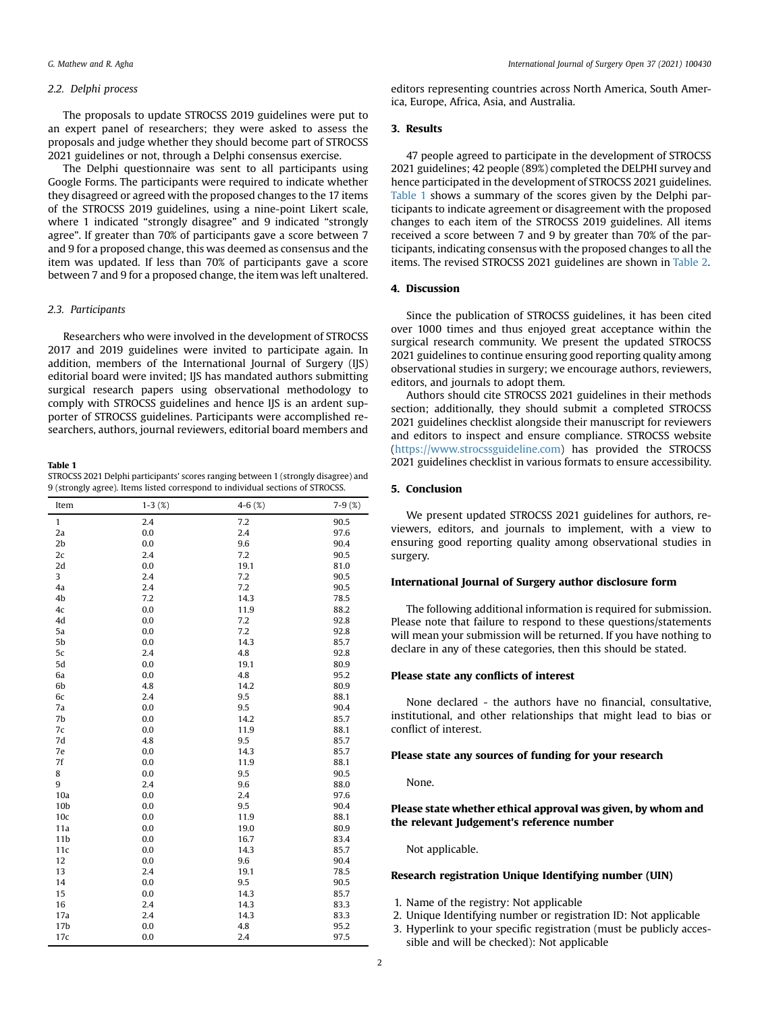#### 2.2. Delphi process

The proposals to update STROCSS 2019 guidelines were put to an expert panel of researchers; they were asked to assess the proposals and judge whether they should become part of STROCSS 2021 guidelines or not, through a Delphi consensus exercise.

The Delphi questionnaire was sent to all participants using Google Forms. The participants were required to indicate whether they disagreed or agreed with the proposed changes to the 17 items of the STROCSS 2019 guidelines, using a nine-point Likert scale, where 1 indicated "strongly disagree" and 9 indicated "strongly agree". If greater than 70% of participants gave a score between 7 and 9 for a proposed change, this was deemed as consensus and the item was updated. If less than 70% of participants gave a score between 7 and 9 for a proposed change, the item was left unaltered.

#### 2.3. Participants

Researchers who were involved in the development of STROCSS 2017 and 2019 guidelines were invited to participate again. In addition, members of the International Journal of Surgery (IJS) editorial board were invited; IJS has mandated authors submitting surgical research papers using observational methodology to comply with STROCSS guidelines and hence IJS is an ardent supporter of STROCSS guidelines. Participants were accomplished researchers, authors, journal reviewers, editorial board members and

<span id="page-1-0"></span>Table 1 STROCSS 2021 Delphi participants' scores ranging between 1 (strongly disagree) and 9 (strongly agree). Items listed correspond to individual sections of STROCSS.

| Item            | $1-3(%)$ | 4-6 $(%)$ | $7-9(%)$ |
|-----------------|----------|-----------|----------|
| $\mathbf{1}$    | 2.4      | 7.2       | 90.5     |
| 2a              | 0.0      | 2.4       | 97.6     |
| 2 <sub>b</sub>  | 0.0      | 9.6       | 90.4     |
| 2c              | 2.4      | 7.2       | 90.5     |
| 2d              | 0.0      | 19.1      | 81.0     |
| 3               | 2.4      | 7.2       | 90.5     |
| 4a              | 2.4      | 7.2       | 90.5     |
| 4b              | 7.2      | 14.3      | 78.5     |
| 4c              | 0.0      | 11.9      | 88.2     |
| 4d              | 0.0      | 7.2       | 92.8     |
| 5a              | 0.0      | 7.2       | 92.8     |
| 5b              | 0.0      | 14.3      | 85.7     |
| 5c              | 2.4      | 4.8       | 92.8     |
| 5d              | 0.0      | 19.1      | 80.9     |
| 6a              | 0.0      | 4.8       | 95.2     |
| 6b              | 4.8      | 14.2      | 80.9     |
| 6c              | 2.4      | 9.5       | 88.1     |
| 7a              | 0.0      | 9.5       | 90.4     |
| 7b              | 0.0      | 14.2      | 85.7     |
| 7c              | 0.0      | 11.9      | 88.1     |
| 7d              | 4.8      | 9.5       | 85.7     |
| 7e              | 0.0      | 14.3      | 85.7     |
| 7f              | 0.0      | 11.9      | 88.1     |
| 8               | 0.0      | 9.5       | 90.5     |
| 9               | 2.4      | 9.6       | 88.0     |
| 10a             | 0.0      | 2.4       | 97.6     |
| 10 <sub>b</sub> | 0.0      | 9.5       | 90.4     |
| 10c             | 0.0      | 11.9      | 88.1     |
| 11a             | 0.0      | 19.0      | 80.9     |
| 11 <sub>b</sub> | 0.0      | 16.7      | 83.4     |
| 11c             | 0.0      | 14.3      | 85.7     |
| 12              | 0.0      | 9.6       | 90.4     |
| 13              | 2.4      | 19.1      | 78.5     |
| 14              | 0.0      | 9.5       | 90.5     |
| 15              | 0.0      | 14.3      | 85.7     |
| 16              | 2.4      | 14.3      | 83.3     |
| 17a             | 2.4      | 14.3      | 83.3     |
| 17 <sub>b</sub> | 0.0      | 4.8       | 95.2     |
| 17c             | 0.0      | 2.4       | 97.5     |

editors representing countries across North America, South America, Europe, Africa, Asia, and Australia.

### 3. Results

47 people agreed to participate in the development of STROCSS 2021 guidelines; 42 people (89%) completed the DELPHI survey and hence participated in the development of STROCSS 2021 guidelines. [Table 1](#page-1-0) shows a summary of the scores given by the Delphi participants to indicate agreement or disagreement with the proposed changes to each item of the STROCSS 2019 guidelines. All items received a score between 7 and 9 by greater than 70% of the participants, indicating consensus with the proposed changes to all the items. The revised STROCSS 2021 guidelines are shown in [Table 2.](#page-2-0)

## 4. Discussion

Since the publication of STROCSS guidelines, it has been cited over 1000 times and thus enjoyed great acceptance within the surgical research community. We present the updated STROCSS 2021 guidelines to continue ensuring good reporting quality among observational studies in surgery; we encourage authors, reviewers, editors, and journals to adopt them.

Authors should cite STROCSS 2021 guidelines in their methods section; additionally, they should submit a completed STROCSS 2021 guidelines checklist alongside their manuscript for reviewers and editors to inspect and ensure compliance. STROCSS website (<https://www.strocssguideline.com>) has provided the STROCSS 2021 guidelines checklist in various formats to ensure accessibility.

#### 5. Conclusion

We present updated STROCSS 2021 guidelines for authors, reviewers, editors, and journals to implement, with a view to ensuring good reporting quality among observational studies in surgery.

#### International Journal of Surgery author disclosure form

The following additional information is required for submission. Please note that failure to respond to these questions/statements will mean your submission will be returned. If you have nothing to declare in any of these categories, then this should be stated.

#### Please state any conflicts of interest

None declared - the authors have no financial, consultative, institutional, and other relationships that might lead to bias or conflict of interest.

#### Please state any sources of funding for your research

None.

## Please state whether ethical approval was given, by whom and the relevant Judgement's reference number

Not applicable.

#### Research registration Unique Identifying number (UIN)

- 1. Name of the registry: Not applicable
- 2. Unique Identifying number or registration ID: Not applicable
- 3. Hyperlink to your specific registration (must be publicly accessible and will be checked): Not applicable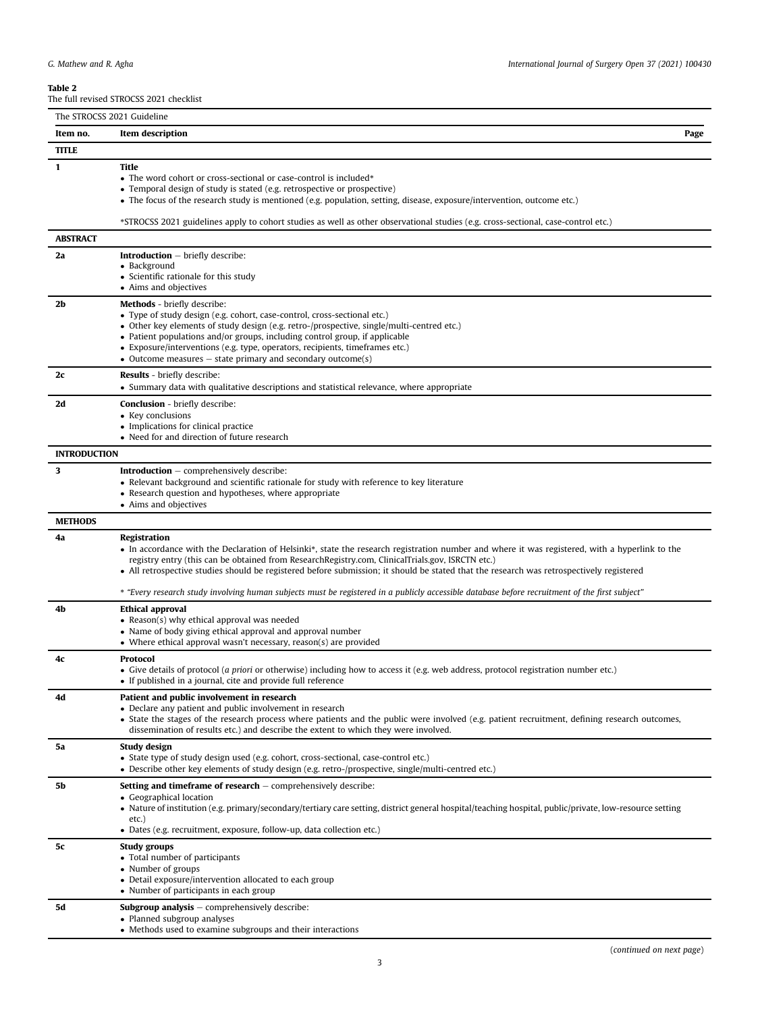<span id="page-2-0"></span>Table 2

The full revised STROCSS 2021 checklist

| The STROCSS 2021 Guideline |                                                                                                                                                                                                                                                                                                                                                                                                                                                                                                                                                                  |      |
|----------------------------|------------------------------------------------------------------------------------------------------------------------------------------------------------------------------------------------------------------------------------------------------------------------------------------------------------------------------------------------------------------------------------------------------------------------------------------------------------------------------------------------------------------------------------------------------------------|------|
| Item no.                   | Item description                                                                                                                                                                                                                                                                                                                                                                                                                                                                                                                                                 | Page |
| <b>TITLE</b>               |                                                                                                                                                                                                                                                                                                                                                                                                                                                                                                                                                                  |      |
| 1                          | Title<br>• The word cohort or cross-sectional or case-control is included*<br>• Temporal design of study is stated (e.g. retrospective or prospective)<br>• The focus of the research study is mentioned (e.g. population, setting, disease, exposure/intervention, outcome etc.)<br>*STROCSS 2021 guidelines apply to cohort studies as well as other observational studies (e.g. cross-sectional, case-control etc.)                                                                                                                                           |      |
| <b>ABSTRACT</b>            |                                                                                                                                                                                                                                                                                                                                                                                                                                                                                                                                                                  |      |
| 2a                         | <b>Introduction</b> - briefly describe:                                                                                                                                                                                                                                                                                                                                                                                                                                                                                                                          |      |
|                            | • Background<br>• Scientific rationale for this study<br>• Aims and objectives                                                                                                                                                                                                                                                                                                                                                                                                                                                                                   |      |
| 2b                         | <b>Methods</b> - briefly describe:<br>• Type of study design (e.g. cohort, case-control, cross-sectional etc.)<br>• Other key elements of study design (e.g. retro-/prospective, single/multi-centred etc.)<br>• Patient populations and/or groups, including control group, if applicable<br>• Exposure/interventions (e.g. type, operators, recipients, timeframes etc.)<br>• Outcome measures $-$ state primary and secondary outcome(s)                                                                                                                      |      |
| 2c                         | <b>Results</b> - briefly describe:<br>• Summary data with qualitative descriptions and statistical relevance, where appropriate                                                                                                                                                                                                                                                                                                                                                                                                                                  |      |
| 2d                         | <b>Conclusion</b> - briefly describe:<br>• Key conclusions<br>• Implications for clinical practice<br>• Need for and direction of future research                                                                                                                                                                                                                                                                                                                                                                                                                |      |
| <b>INTRODUCTION</b>        |                                                                                                                                                                                                                                                                                                                                                                                                                                                                                                                                                                  |      |
| 3                          | <b>Introduction</b> $-$ comprehensively describe:<br>• Relevant background and scientific rationale for study with reference to key literature<br>• Research question and hypotheses, where appropriate<br>• Aims and objectives                                                                                                                                                                                                                                                                                                                                 |      |
| <b>METHODS</b>             |                                                                                                                                                                                                                                                                                                                                                                                                                                                                                                                                                                  |      |
| 4a                         | Registration<br>• In accordance with the Declaration of Helsinki*, state the research registration number and where it was registered, with a hyperlink to the<br>registry entry (this can be obtained from ResearchRegistry.com, ClinicalTrials.gov, ISRCTN etc.)<br>• All retrospective studies should be registered before submission; it should be stated that the research was retrospectively registered<br>* "Every research study involving human subjects must be registered in a publicly accessible database before recruitment of the first subject" |      |
| 4b                         | Ethical approval<br>• Reason(s) why ethical approval was needed<br>• Name of body giving ethical approval and approval number<br>• Where ethical approval wasn't necessary, reason(s) are provided                                                                                                                                                                                                                                                                                                                                                               |      |
| 4c                         | Protocol<br>• Give details of protocol ( <i>a priori</i> or otherwise) including how to access it (e.g. web address, protocol registration number etc.)<br>• If published in a journal, cite and provide full reference                                                                                                                                                                                                                                                                                                                                          |      |
| 4d                         | Patient and public involvement in research<br>• Declare any patient and public involvement in research<br>• State the stages of the research process where patients and the public were involved (e.g. patient recruitment, defining research outcomes,<br>dissemination of results etc.) and describe the extent to which they were involved.                                                                                                                                                                                                                   |      |
| 5a                         | Study design<br>• State type of study design used (e.g. cohort, cross-sectional, case-control etc.)<br>• Describe other key elements of study design (e.g. retro-/prospective, single/multi-centred etc.)                                                                                                                                                                                                                                                                                                                                                        |      |
| 5b                         | <b>Setting and timeframe of research</b> $-$ comprehensively describe:<br>• Geographical location<br>• Nature of institution (e.g. primary/secondary/tertiary care setting, district general hospital/teaching hospital, public/private, low-resource setting<br>$etc.$ )<br>• Dates (e.g. recruitment, exposure, follow-up, data collection etc.)                                                                                                                                                                                                               |      |
| 5с                         | <b>Study groups</b><br>• Total number of participants<br>• Number of groups<br>• Detail exposure/intervention allocated to each group<br>• Number of participants in each group                                                                                                                                                                                                                                                                                                                                                                                  |      |
| 5d                         | <b>Subgroup analysis</b> $-$ comprehensively describe:<br>• Planned subgroup analyses<br>• Methods used to examine subgroups and their interactions                                                                                                                                                                                                                                                                                                                                                                                                              |      |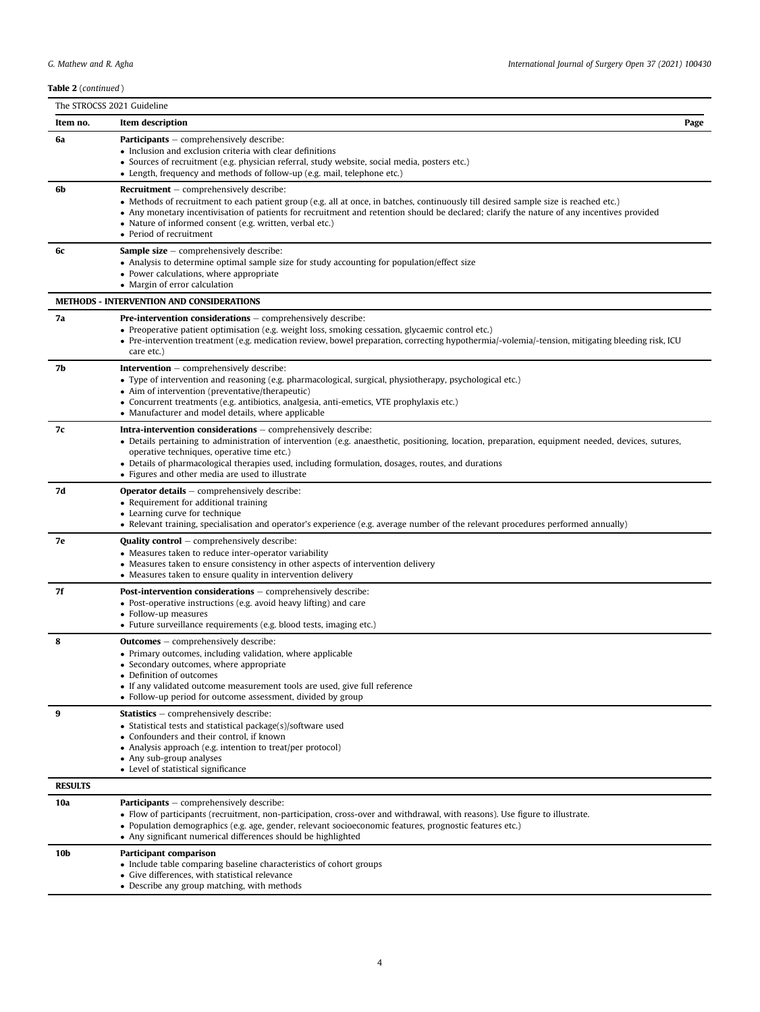Table 2 (continued)

| <b>Table 2</b> (continued ) |                                                                                                                                                                                                                                                                                                                                                                                                                                     |
|-----------------------------|-------------------------------------------------------------------------------------------------------------------------------------------------------------------------------------------------------------------------------------------------------------------------------------------------------------------------------------------------------------------------------------------------------------------------------------|
|                             | The STROCSS 2021 Guideline                                                                                                                                                                                                                                                                                                                                                                                                          |
| Item no.                    | Item description<br>Page                                                                                                                                                                                                                                                                                                                                                                                                            |
| 6a                          | <b>Participants</b> – comprehensively describe:<br>• Inclusion and exclusion criteria with clear definitions<br>· Sources of recruitment (e.g. physician referral, study website, social media, posters etc.)<br>• Length, frequency and methods of follow-up (e.g. mail, telephone etc.)                                                                                                                                           |
| 6b                          | <b>Recruitment</b> $-$ comprehensively describe:<br>• Methods of recruitment to each patient group (e.g. all at once, in batches, continuously till desired sample size is reached etc.)<br>• Any monetary incentivisation of patients for recruitment and retention should be declared; clarify the nature of any incentives provided<br>• Nature of informed consent (e.g. written, verbal etc.)<br>• Period of recruitment       |
| 6с                          | <b>Sample size</b> $-$ comprehensively describe:<br>• Analysis to determine optimal sample size for study accounting for population/effect size<br>• Power calculations, where appropriate<br>• Margin of error calculation                                                                                                                                                                                                         |
|                             | <b>METHODS - INTERVENTION AND CONSIDERATIONS</b>                                                                                                                                                                                                                                                                                                                                                                                    |
| 7a                          | <b>Pre-intervention considerations</b> $-$ comprehensively describe:<br>• Preoperative patient optimisation (e.g. weight loss, smoking cessation, glycaemic control etc.)<br>• Pre-intervention treatment (e.g. medication review, bowel preparation, correcting hypothermia/-volemia/-tension, mitigating bleeding risk, ICU<br>care etc.)                                                                                         |
| 7b                          | <b>Intervention</b> $-$ comprehensively describe:<br>• Type of intervention and reasoning (e.g. pharmacological, surgical, physiotherapy, psychological etc.)<br>• Aim of intervention (preventative/therapeutic)<br>• Concurrent treatments (e.g. antibiotics, analgesia, anti-emetics, VTE prophylaxis etc.)<br>• Manufacturer and model details, where applicable                                                                |
| 7с                          | <b>Intra-intervention considerations</b> $-$ comprehensively describe:<br>• Details pertaining to administration of intervention (e.g. anaesthetic, positioning, location, preparation, equipment needed, devices, sutures,<br>operative techniques, operative time etc.)<br>• Details of pharmacological therapies used, including formulation, dosages, routes, and durations<br>• Figures and other media are used to illustrate |
| 7d                          | <b>Operator details</b> $-$ comprehensively describe:<br>• Requirement for additional training<br>• Learning curve for technique<br>• Relevant training, specialisation and operator's experience (e.g. average number of the relevant procedures performed annually)                                                                                                                                                               |
| 7е                          | <b>Quality control</b> $-$ comprehensively describe:<br>• Measures taken to reduce inter-operator variability<br>• Measures taken to ensure consistency in other aspects of intervention delivery<br>• Measures taken to ensure quality in intervention delivery                                                                                                                                                                    |
| 7f                          | <b>Post-intervention considerations</b> $-$ comprehensively describe:<br>• Post-operative instructions (e.g. avoid heavy lifting) and care<br>• Follow-up measures<br>• Future surveillance requirements (e.g. blood tests, imaging etc.)                                                                                                                                                                                           |
| 8                           | <b>Outcomes</b> – comprehensively describe:<br>• Primary outcomes, including validation, where applicable<br>• Secondary outcomes, where appropriate<br>• Definition of outcomes<br>• If any validated outcome measurement tools are used, give full reference<br>• Follow-up period for outcome assessment, divided by group                                                                                                       |
| 9                           | <b>Statistics</b> – comprehensively describe:<br>• Statistical tests and statistical package(s)/software used<br>• Confounders and their control, if known<br>• Analysis approach (e.g. intention to treat/per protocol)<br>• Any sub-group analyses<br>• Level of statistical significance                                                                                                                                         |
| <b>RESULTS</b>              |                                                                                                                                                                                                                                                                                                                                                                                                                                     |
| 10a                         | <b>Participants</b> – comprehensively describe:<br>• Flow of participants (recruitment, non-participation, cross-over and withdrawal, with reasons). Use figure to illustrate.<br>• Population demographics (e.g. age, gender, relevant socioeconomic features, prognostic features etc.)<br>• Any significant numerical differences should be highlighted                                                                          |
| 10b                         | Participant comparison<br>• Include table comparing baseline characteristics of cohort groups<br>• Give differences, with statistical relevance<br>• Describe any group matching, with methods                                                                                                                                                                                                                                      |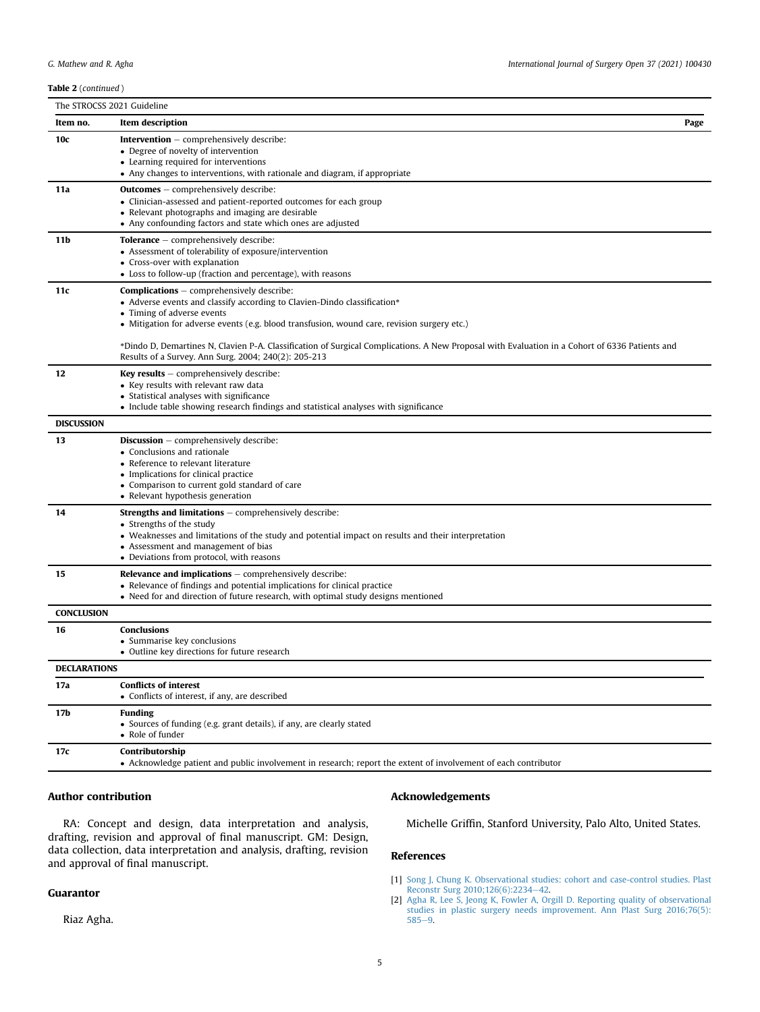| <b>Table 2</b> (continued) |                                                                                                                                                                                                                                                                                                                                                                                                             |  |
|----------------------------|-------------------------------------------------------------------------------------------------------------------------------------------------------------------------------------------------------------------------------------------------------------------------------------------------------------------------------------------------------------------------------------------------------------|--|
| The STROCSS 2021 Guideline |                                                                                                                                                                                                                                                                                                                                                                                                             |  |
| Item no.                   | <b>Item description</b><br>Page                                                                                                                                                                                                                                                                                                                                                                             |  |
| 10c                        | <b>Intervention</b> $-$ comprehensively describe:<br>• Degree of novelty of intervention<br>• Learning required for interventions<br>• Any changes to interventions, with rationale and diagram, if appropriate                                                                                                                                                                                             |  |
| 11a                        | <b>Outcomes</b> – comprehensively describe:<br>• Clinician-assessed and patient-reported outcomes for each group<br>• Relevant photographs and imaging are desirable<br>• Any confounding factors and state which ones are adjusted                                                                                                                                                                         |  |
| 11b                        | <b>Tolerance</b> $-$ comprehensively describe:<br>• Assessment of tolerability of exposure/intervention<br>• Cross-over with explanation<br>• Loss to follow-up (fraction and percentage), with reasons                                                                                                                                                                                                     |  |
| 11c                        | <b>Complications</b> – comprehensively describe:<br>• Adverse events and classify according to Clavien-Dindo classification*<br>• Timing of adverse events<br>• Mitigation for adverse events (e.g. blood transfusion, wound care, revision surgery etc.)<br>*Dindo D, Demartines N, Clavien P-A. Classification of Surgical Complications. A New Proposal with Evaluation in a Cohort of 6336 Patients and |  |
| 12                         | Results of a Survey. Ann Surg. 2004; 240(2): 205-213<br><b>Key results</b> $-$ comprehensively describe:<br>• Key results with relevant raw data<br>• Statistical analyses with significance<br>• Include table showing research findings and statistical analyses with significance                                                                                                                        |  |
| <b>DISCUSSION</b>          |                                                                                                                                                                                                                                                                                                                                                                                                             |  |
| 13                         | <b>Discussion</b> $-$ comprehensively describe:<br>• Conclusions and rationale<br>• Reference to relevant literature<br>• Implications for clinical practice<br>• Comparison to current gold standard of care<br>• Relevant hypothesis generation                                                                                                                                                           |  |
| 14                         | <b>Strengths and limitations</b> $-$ comprehensively describe:<br>• Strengths of the study<br>• Weaknesses and limitations of the study and potential impact on results and their interpretation<br>• Assessment and management of bias<br>• Deviations from protocol, with reasons                                                                                                                         |  |
| 15                         | <b>Relevance and implications</b> $-$ comprehensively describe:<br>• Relevance of findings and potential implications for clinical practice<br>• Need for and direction of future research, with optimal study designs mentioned                                                                                                                                                                            |  |
| <b>CONCLUSION</b>          |                                                                                                                                                                                                                                                                                                                                                                                                             |  |
| 16                         | <b>Conclusions</b><br>• Summarise key conclusions<br>• Outline key directions for future research                                                                                                                                                                                                                                                                                                           |  |
| <b>DECLARATIONS</b>        |                                                                                                                                                                                                                                                                                                                                                                                                             |  |
| 17a                        | <b>Conflicts of interest</b><br>• Conflicts of interest, if any, are described                                                                                                                                                                                                                                                                                                                              |  |
| 17b                        | <b>Funding</b><br>• Sources of funding (e.g. grant details), if any, are clearly stated<br>• Role of funder                                                                                                                                                                                                                                                                                                 |  |
| 17c                        | Contributorship<br>• Acknowledge patient and public involvement in research; report the extent of involvement of each contributor                                                                                                                                                                                                                                                                           |  |

# Author contribution

RA: Concept and design, data interpretation and analysis, drafting, revision and approval of final manuscript. GM: Design, data collection, data interpretation and analysis, drafting, revision and approval of final manuscript.

# Guarantor

Riaz Agha.

# Acknowledgements

Michelle Griffin, Stanford University, Palo Alto, United States.

#### References

- <span id="page-4-0"></span>[1] [Song J, Chung K. Observational studies: cohort and case-control studies. Plast](http://refhub.elsevier.com/S2405-8572(21)00121-2/sref1) [Reconstr Surg 2010;126\(6\):2234](http://refhub.elsevier.com/S2405-8572(21)00121-2/sref1)e[42](http://refhub.elsevier.com/S2405-8572(21)00121-2/sref1).
- <span id="page-4-1"></span>[2] [Agha R, Lee S, Jeong K, Fowler A, Orgill D. Reporting quality of observational](http://refhub.elsevier.com/S2405-8572(21)00121-2/sref2) [studies in plastic surgery needs improvement. Ann Plast Surg 2016;76\(5\):](http://refhub.elsevier.com/S2405-8572(21)00121-2/sref2) [585](http://refhub.elsevier.com/S2405-8572(21)00121-2/sref2)e[9](http://refhub.elsevier.com/S2405-8572(21)00121-2/sref2).